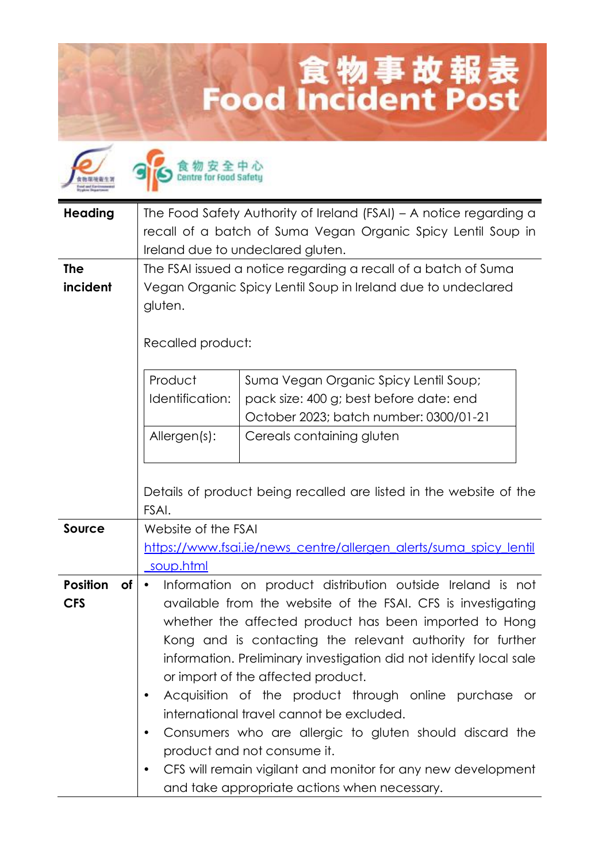## 食物事故報表<br>Food Incident Post

| <b>Heading</b>                      | The Food Safety Authority of Ireland (FSAI) - A notice regarding a<br>recall of a batch of Suma Vegan Organic Spicy Lentil Soup in<br>Ireland due to undeclared gluten.                                                                                                                                                                                                                                                                                                                                                                                                                                                                                                      |
|-------------------------------------|------------------------------------------------------------------------------------------------------------------------------------------------------------------------------------------------------------------------------------------------------------------------------------------------------------------------------------------------------------------------------------------------------------------------------------------------------------------------------------------------------------------------------------------------------------------------------------------------------------------------------------------------------------------------------|
| <b>The</b><br>incident              | The FSAI issued a notice regarding a recall of a batch of Suma<br>Vegan Organic Spicy Lentil Soup in Ireland due to undeclared<br>gluten.<br>Recalled product:                                                                                                                                                                                                                                                                                                                                                                                                                                                                                                               |
|                                     | Product<br>Suma Vegan Organic Spicy Lentil Soup;<br>Identification:<br>pack size: 400 g; best before date: end<br>October 2023; batch number: 0300/01-21<br>Allergen(s):<br>Cereals containing gluten<br>Details of product being recalled are listed in the website of the<br>FSAI.                                                                                                                                                                                                                                                                                                                                                                                         |
| <b>Source</b>                       | Website of the FSAI<br>https://www.fsai.ie/news_centre/allergen_alerts/suma_spicy_lentil<br>soup.html                                                                                                                                                                                                                                                                                                                                                                                                                                                                                                                                                                        |
| <b>Position</b><br>of<br><b>CFS</b> | Information on product distribution outside Ireland is not<br>available from the website of the FSAI. CFS is investigating<br>whether the affected product has been imported to Hong<br>Kong and is contacting the relevant authority for further<br>information. Preliminary investigation did not identify local sale<br>or import of the affected product.<br>Acquisition of the product through online purchase or<br>international travel cannot be excluded.<br>Consumers who are allergic to gluten should discard the<br>product and not consume it.<br>CFS will remain vigilant and monitor for any new development<br>and take appropriate actions when necessary. |